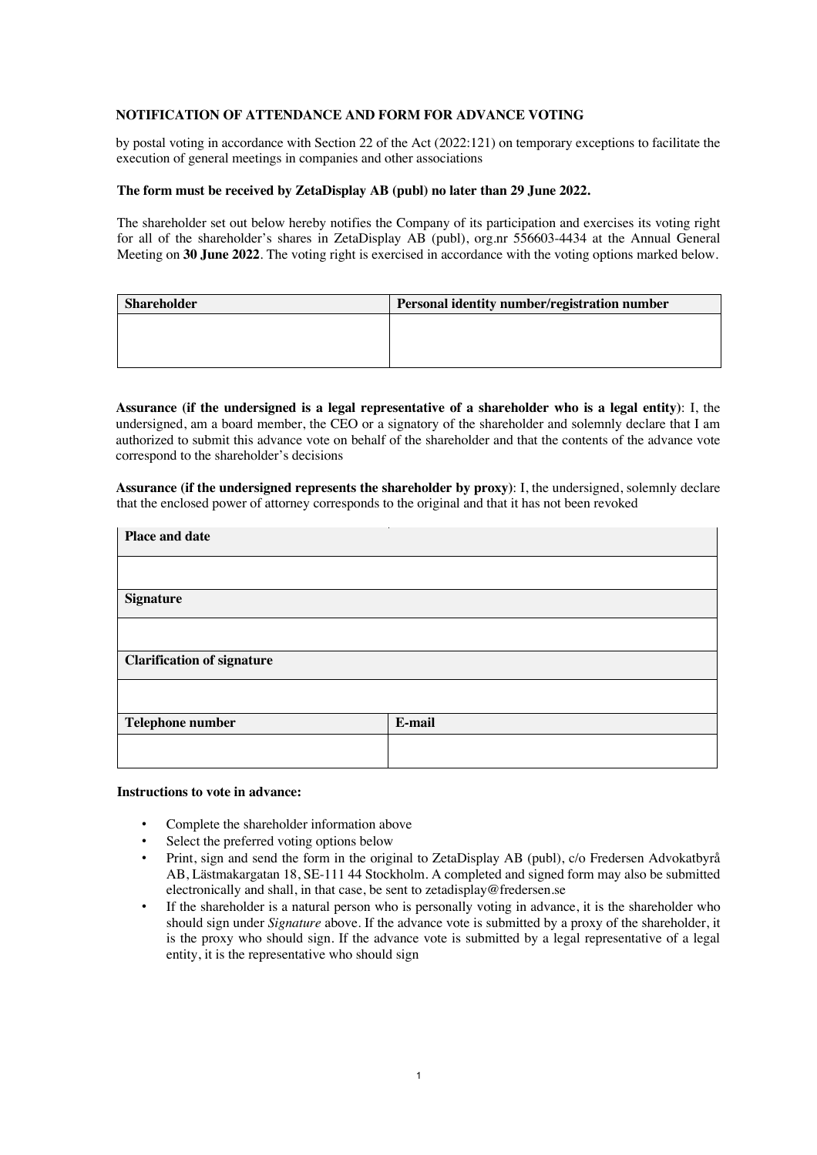## **NOTIFICATION OF ATTENDANCE AND FORM FOR ADVANCE VOTING**

by postal voting in accordance with Section 22 of the Act (2022:121) on temporary exceptions to facilitate the execution of general meetings in companies and other associations

### **The form must be received by ZetaDisplay AB (publ) no later than 29 June 2022.**

The shareholder set out below hereby notifies the Company of its participation and exercises its voting right for all of the shareholder's shares in ZetaDisplay AB (publ), org.nr 556603-4434 at the Annual General Meeting on **30 June 2022**. The voting right is exercised in accordance with the voting options marked below.

| <b>Shareholder</b> | Personal identity number/registration number |
|--------------------|----------------------------------------------|
|                    |                                              |
|                    |                                              |
|                    |                                              |

**Assurance (if the undersigned is a legal representative of a shareholder who is a legal entity)**: I, the undersigned, am a board member, the CEO or a signatory of the shareholder and solemnly declare that I am authorized to submit this advance vote on behalf of the shareholder and that the contents of the advance vote correspond to the shareholder's decisions

**Assurance (if the undersigned represents the shareholder by proxy)**: I, the undersigned, solemnly declare that the enclosed power of attorney corresponds to the original and that it has not been revoked

| Place and date                    |        |
|-----------------------------------|--------|
|                                   |        |
| <b>Signature</b>                  |        |
|                                   |        |
| <b>Clarification of signature</b> |        |
|                                   |        |
| Telephone number                  | E-mail |
|                                   |        |

#### **Instructions to vote in advance:**

- Complete the shareholder information above
- Select the preferred voting options below
- Print, sign and send the form in the original to ZetaDisplay AB (publ), c/o Fredersen Advokatbyrå AB, Lästmakargatan 18, SE-111 44 Stockholm. A completed and signed form may also be submitted electronically and shall, in that case, be sent to zetadisplay@fredersen.se
- If the shareholder is a natural person who is personally voting in advance, it is the shareholder who should sign under *Signature* above. If the advance vote is submitted by a proxy of the shareholder, it is the proxy who should sign. If the advance vote is submitted by a legal representative of a legal entity, it is the representative who should sign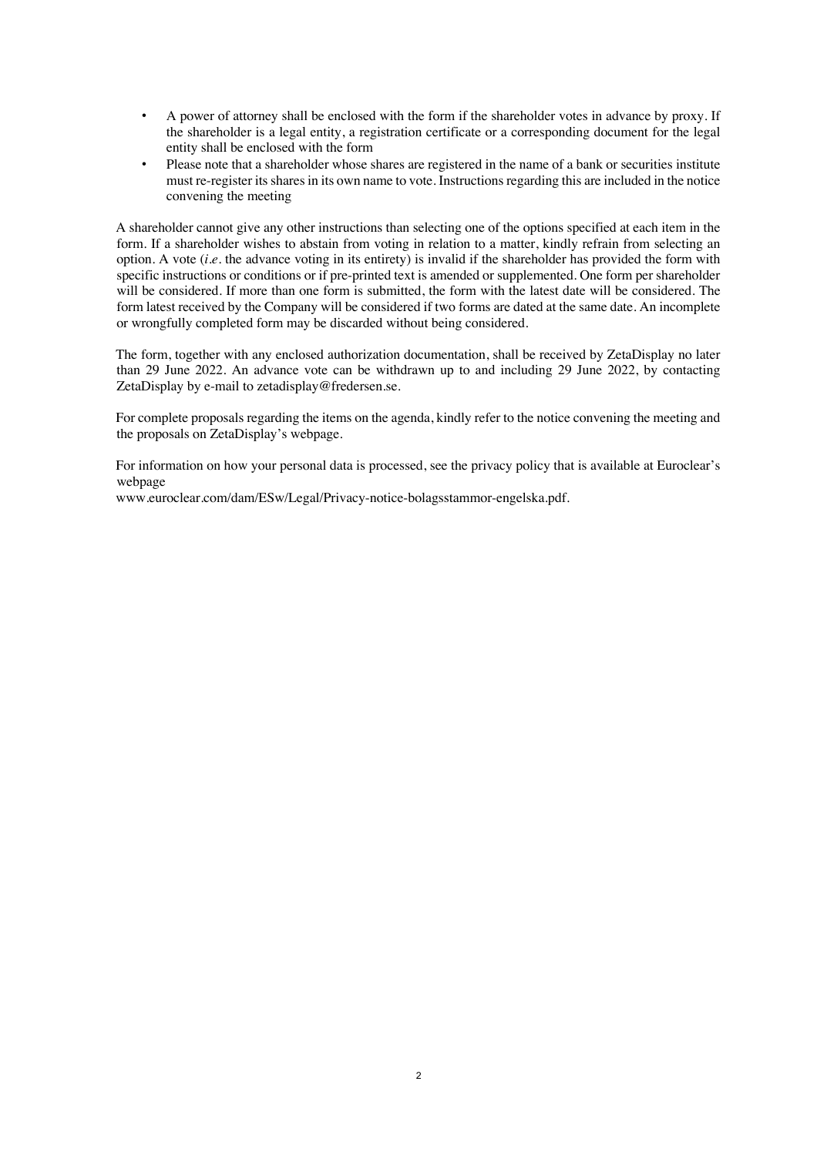- A power of attorney shall be enclosed with the form if the shareholder votes in advance by proxy. If the shareholder is a legal entity, a registration certificate or a corresponding document for the legal entity shall be enclosed with the form
- Please note that a shareholder whose shares are registered in the name of a bank or securities institute must re-register its shares in its own name to vote. Instructions regarding this are included in the notice convening the meeting

A shareholder cannot give any other instructions than selecting one of the options specified at each item in the form. If a shareholder wishes to abstain from voting in relation to a matter, kindly refrain from selecting an option. A vote (*i.e.* the advance voting in its entirety) is invalid if the shareholder has provided the form with specific instructions or conditions or if pre-printed text is amended or supplemented. One form per shareholder will be considered. If more than one form is submitted, the form with the latest date will be considered. The form latest received by the Company will be considered if two forms are dated at the same date. An incomplete or wrongfully completed form may be discarded without being considered.

The form, together with any enclosed authorization documentation, shall be received by ZetaDisplay no later than 29 June 2022. An advance vote can be withdrawn up to and including 29 June 2022, by contacting ZetaDisplay by e-mail to zetadisplay@fredersen.se.

For complete proposals regarding the items on the agenda, kindly refer to the notice convening the meeting and the proposals on ZetaDisplay's webpage.

For information on how your personal data is processed, see the privacy policy that is available at Euroclear's webpage

www.euroclear.com/dam/ESw/Legal/Privacy-notice-bolagsstammor-engelska.pdf.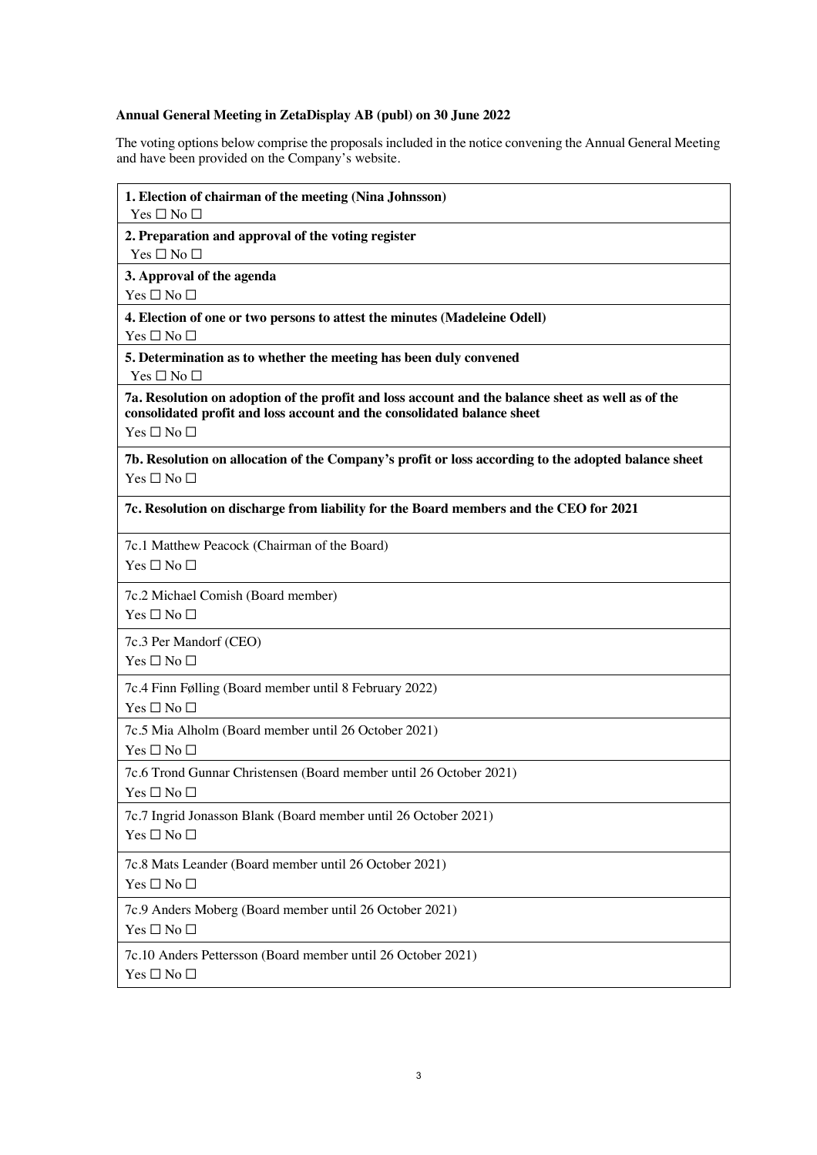# **Annual General Meeting in ZetaDisplay AB (publ) on 30 June 2022**

The voting options below comprise the proposals included in the notice convening the Annual General Meeting and have been provided on the Company's website.

| 1. Election of chairman of the meeting (Nina Johnsson)<br>$Yes \Box No \Box$                                                                                                                       |  |
|----------------------------------------------------------------------------------------------------------------------------------------------------------------------------------------------------|--|
| 2. Preparation and approval of the voting register<br>$Yes \Box No \Box$                                                                                                                           |  |
| 3. Approval of the agenda                                                                                                                                                                          |  |
| $Yes \Box No \Box$                                                                                                                                                                                 |  |
| 4. Election of one or two persons to attest the minutes (Madeleine Odell)<br>Yes $\square$ No $\square$                                                                                            |  |
| 5. Determination as to whether the meeting has been duly convened<br>$Yes \Box No \Box$                                                                                                            |  |
| 7a. Resolution on adoption of the profit and loss account and the balance sheet as well as of the<br>consolidated profit and loss account and the consolidated balance sheet<br>$Yes \Box No \Box$ |  |
| 7b. Resolution on allocation of the Company's profit or loss according to the adopted balance sheet<br>$Yes \Box No \Box$                                                                          |  |
| 7c. Resolution on discharge from liability for the Board members and the CEO for 2021                                                                                                              |  |
| 7c.1 Matthew Peacock (Chairman of the Board)<br>$Yes \Box No \Box$                                                                                                                                 |  |
| 7c.2 Michael Comish (Board member)<br>$Yes \Box No \Box$                                                                                                                                           |  |
| 7c.3 Per Mandorf (CEO)<br>Yes $\square$ No $\square$                                                                                                                                               |  |
| 7c.4 Finn Følling (Board member until 8 February 2022)<br>Yes $\square$ No $\square$                                                                                                               |  |
| 7c.5 Mia Alholm (Board member until 26 October 2021)<br>Yes $\square$ No $\square$                                                                                                                 |  |
| 7c.6 Trond Gunnar Christensen (Board member until 26 October 2021)<br>$Yes \Box No \Box$                                                                                                           |  |
| 7c.7 Ingrid Jonasson Blank (Board member until 26 October 2021)<br>Yes $\square$ No $\square$                                                                                                      |  |
| 7c.8 Mats Leander (Board member until 26 October 2021)<br>Yes $\square$ No $\square$                                                                                                               |  |
| 7c.9 Anders Moberg (Board member until 26 October 2021)<br>Yes $\square$ No $\square$                                                                                                              |  |
| 7c.10 Anders Pettersson (Board member until 26 October 2021)<br>$Yes \Box No \Box$                                                                                                                 |  |